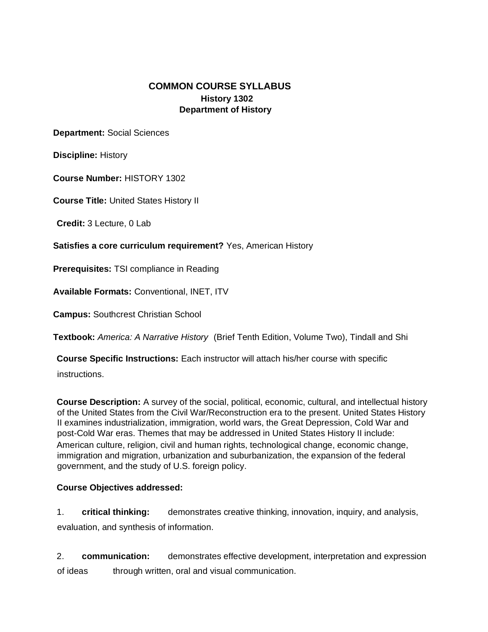## **COMMON COURSE SYLLABUS History 1302 Department of History**

**Department:** Social Sciences

**Discipline:** History

**Course Number:** HISTORY 1302

**Course Title:** United States History II

**Credit:** 3 Lecture, 0 Lab

**Satisfies a core curriculum requirement?** Yes, American History

**Prerequisites:** TSI compliance in Reading

**Available Formats:** Conventional, INET, ITV

**Campus:** Southcrest Christian School

**Textbook:** *America: A Narrative History* (Brief Tenth Edition, Volume Two), Tindall and Shi

**Course Specific Instructions:** Each instructor will attach his/her course with specific

instructions.

**Course Description:** A survey of the social, political, economic, cultural, and intellectual history of the United States from the Civil War/Reconstruction era to the present. United States History II examines industrialization, immigration, world wars, the Great Depression, Cold War and post-Cold War eras. Themes that may be addressed in United States History II include: American culture, religion, civil and human rights, technological change, economic change, immigration and migration, urbanization and suburbanization, the expansion of the federal government, and the study of U.S. foreign policy.

## **Course Objectives addressed:**

1. **critical thinking:** demonstrates creative thinking, innovation, inquiry, and analysis, evaluation, and synthesis of information.

2. **communication:** demonstrates effective development, interpretation and expression of ideas through written, oral and visual communication.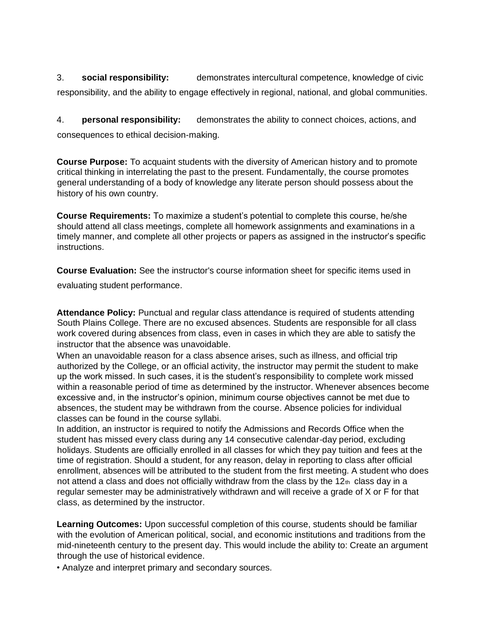3. **social responsibility:** demonstrates intercultural competence, knowledge of civic responsibility, and the ability to engage effectively in regional, national, and global communities.

4. **personal responsibility:** demonstrates the ability to connect choices, actions, and consequences to ethical decision-making.

**Course Purpose:** To acquaint students with the diversity of American history and to promote critical thinking in interrelating the past to the present. Fundamentally, the course promotes general understanding of a body of knowledge any literate person should possess about the history of his own country.

**Course Requirements:** To maximize a student's potential to complete this course, he/she should attend all class meetings, complete all homework assignments and examinations in a timely manner, and complete all other projects or papers as assigned in the instructor's specific instructions.

**Course Evaluation:** See the instructor's course information sheet for specific items used in

evaluating student performance.

**Attendance Policy:** Punctual and regular class attendance is required of students attending South Plains College. There are no excused absences. Students are responsible for all class work covered during absences from class, even in cases in which they are able to satisfy the instructor that the absence was unavoidable.

When an unavoidable reason for a class absence arises, such as illness, and official trip authorized by the College, or an official activity, the instructor may permit the student to make up the work missed. In such cases, it is the student's responsibility to complete work missed within a reasonable period of time as determined by the instructor. Whenever absences become excessive and, in the instructor's opinion, minimum course objectives cannot be met due to absences, the student may be withdrawn from the course. Absence policies for individual classes can be found in the course syllabi.

In addition, an instructor is required to notify the Admissions and Records Office when the student has missed every class during any 14 consecutive calendar-day period, excluding holidays. Students are officially enrolled in all classes for which they pay tuition and fees at the time of registration. Should a student, for any reason, delay in reporting to class after official enrollment, absences will be attributed to the student from the first meeting. A student who does not attend a class and does not officially withdraw from the class by the  $12<sub>th</sub>$  class day in a regular semester may be administratively withdrawn and will receive a grade of X or F for that class, as determined by the instructor.

**Learning Outcomes:** Upon successful completion of this course, students should be familiar with the evolution of American political, social, and economic institutions and traditions from the mid-nineteenth century to the present day. This would include the ability to: Create an argument through the use of historical evidence.

• Analyze and interpret primary and secondary sources.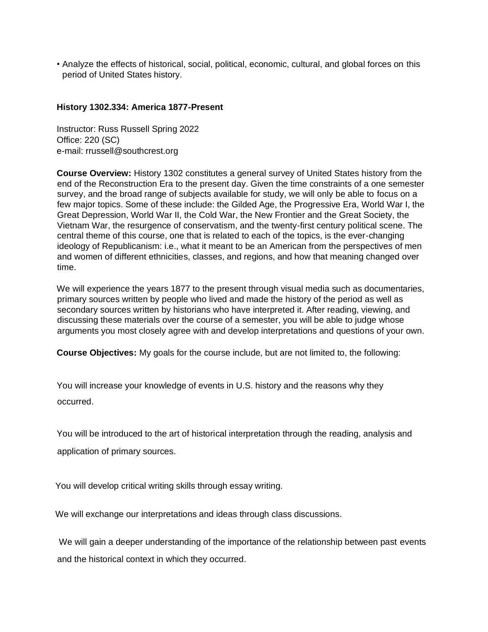• Analyze the effects of historical, social, political, economic, cultural, and global forces on this period of United States history.

## **History 1302.334: America 1877-Present**

Instructor: Russ Russell Spring 2022 Office: 220 (SC) e-mail: rrussell@southcrest.org

**Course Overview:** History 1302 constitutes a general survey of United States history from the end of the Reconstruction Era to the present day. Given the time constraints of a one semester survey, and the broad range of subjects available for study, we will only be able to focus on a few major topics. Some of these include: the Gilded Age, the Progressive Era, World War I, the Great Depression, World War II, the Cold War, the New Frontier and the Great Society, the Vietnam War, the resurgence of conservatism, and the twenty-first century political scene. The central theme of this course, one that is related to each of the topics, is the ever-changing ideology of Republicanism: i.e., what it meant to be an American from the perspectives of men and women of different ethnicities, classes, and regions, and how that meaning changed over time.

We will experience the years 1877 to the present through visual media such as documentaries, primary sources written by people who lived and made the history of the period as well as secondary sources written by historians who have interpreted it. After reading, viewing, and discussing these materials over the course of a semester, you will be able to judge whose arguments you most closely agree with and develop interpretations and questions of your own.

**Course Objectives:** My goals for the course include, but are not limited to, the following:

You will increase your knowledge of events in U.S. history and the reasons why they occurred.

You will be introduced to the art of historical interpretation through the reading, analysis and application of primary sources.

You will develop critical writing skills through essay writing.

We will exchange our interpretations and ideas through class discussions.

We will gain a deeper understanding of the importance of the relationship between past events and the historical context in which they occurred.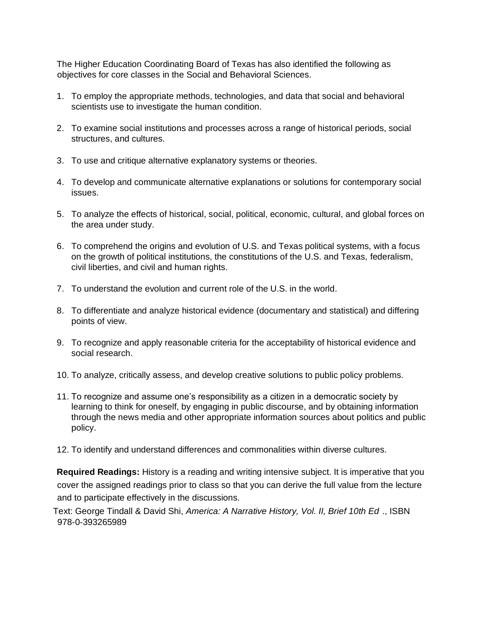The Higher Education Coordinating Board of Texas has also identified the following as objectives for core classes in the Social and Behavioral Sciences.

- 1. To employ the appropriate methods, technologies, and data that social and behavioral scientists use to investigate the human condition.
- 2. To examine social institutions and processes across a range of historical periods, social structures, and cultures.
- 3. To use and critique alternative explanatory systems or theories.
- 4. To develop and communicate alternative explanations or solutions for contemporary social issues.
- 5. To analyze the effects of historical, social, political, economic, cultural, and global forces on the area under study.
- 6. To comprehend the origins and evolution of U.S. and Texas political systems, with a focus on the growth of political institutions, the constitutions of the U.S. and Texas, federalism, civil liberties, and civil and human rights.
- 7. To understand the evolution and current role of the U.S. in the world.
- 8. To differentiate and analyze historical evidence (documentary and statistical) and differing points of view.
- 9. To recognize and apply reasonable criteria for the acceptability of historical evidence and social research.
- 10. To analyze, critically assess, and develop creative solutions to public policy problems.
- 11. To recognize and assume one's responsibility as a citizen in a democratic society by learning to think for oneself, by engaging in public discourse, and by obtaining information through the news media and other appropriate information sources about politics and public policy.
- 12. To identify and understand differences and commonalities within diverse cultures.

**Required Readings:** History is a reading and writing intensive subject. It is imperative that you cover the assigned readings prior to class so that you can derive the full value from the lecture and to participate effectively in the discussions.

Text: George Tindall & David Shi, *America: A Narrative History, Vol. II, Brief 10th Ed* ., ISBN 978-0-393265989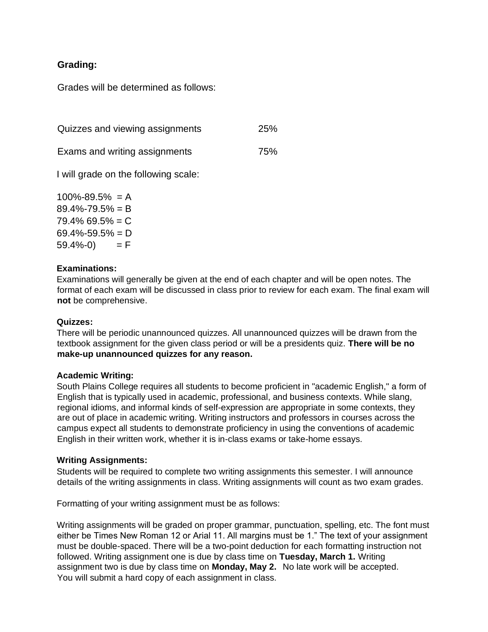# **Grading:**

Grades will be determined as follows:

| Quizzes and viewing assignments      | <b>25%</b> |
|--------------------------------------|------------|
| Exams and writing assignments        | 75%        |
| I will grade on the following scale: |            |

 $100\% - 89.5\% = \Delta$ 

| $89.4\% - 79.5\% = B$ |     |
|-----------------------|-----|
| $79.4\%$ 69.5% = C    |     |
| $69.4\% - 59.5\% = D$ |     |
| 59.4%-0)              | = F |
|                       |     |

#### **Examinations:**

Examinations will generally be given at the end of each chapter and will be open notes. The format of each exam will be discussed in class prior to review for each exam. The final exam will **not** be comprehensive.

## **Quizzes:**

There will be periodic unannounced quizzes. All unannounced quizzes will be drawn from the textbook assignment for the given class period or will be a presidents quiz. **There will be no make-up unannounced quizzes for any reason.** 

#### **Academic Writing:**

South Plains College requires all students to become proficient in "academic English," a form of English that is typically used in academic, professional, and business contexts. While slang, regional idioms, and informal kinds of self-expression are appropriate in some contexts, they are out of place in academic writing. Writing instructors and professors in courses across the campus expect all students to demonstrate proficiency in using the conventions of academic English in their written work, whether it is in-class exams or take-home essays.

#### **Writing Assignments:**

Students will be required to complete two writing assignments this semester. I will announce details of the writing assignments in class. Writing assignments will count as two exam grades.

Formatting of your writing assignment must be as follows:

Writing assignments will be graded on proper grammar, punctuation, spelling, etc. The font must either be Times New Roman 12 or Arial 11. All margins must be 1." The text of your assignment must be double-spaced. There will be a two-point deduction for each formatting instruction not followed. Writing assignment one is due by class time on **Tuesday, March 1.** Writing assignment two is due by class time on **Monday, May 2.** No late work will be accepted. You will submit a hard copy of each assignment in class.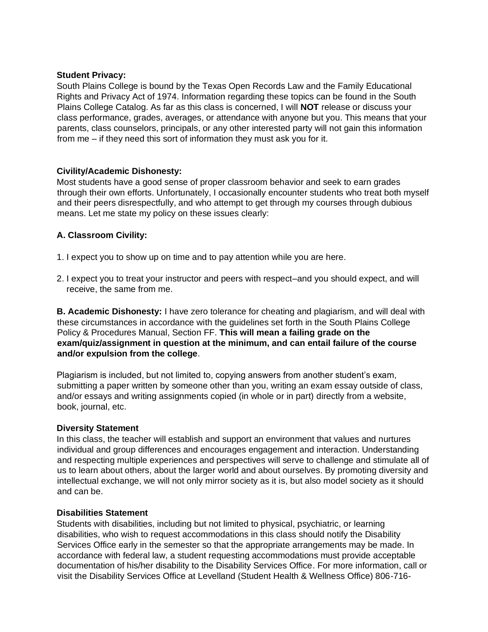#### **Student Privacy:**

South Plains College is bound by the Texas Open Records Law and the Family Educational Rights and Privacy Act of 1974. Information regarding these topics can be found in the South Plains College Catalog. As far as this class is concerned, I will **NOT** release or discuss your class performance, grades, averages, or attendance with anyone but you. This means that your parents, class counselors, principals, or any other interested party will not gain this information from me – if they need this sort of information they must ask you for it.

## **Civility/Academic Dishonesty:**

Most students have a good sense of proper classroom behavior and seek to earn grades through their own efforts. Unfortunately, I occasionally encounter students who treat both myself and their peers disrespectfully, and who attempt to get through my courses through dubious means. Let me state my policy on these issues clearly:

## **A. Classroom Civility:**

- 1. I expect you to show up on time and to pay attention while you are here.
- 2. I expect you to treat your instructor and peers with respect–and you should expect, and will receive, the same from me.

**B. Academic Dishonesty:** I have zero tolerance for cheating and plagiarism, and will deal with these circumstances in accordance with the guidelines set forth in the South Plains College Policy & Procedures Manual, Section FF. **This will mean a failing grade on the exam/quiz/assignment in question at the minimum, and can entail failure of the course and/or expulsion from the college**.

Plagiarism is included, but not limited to, copying answers from another student's exam, submitting a paper written by someone other than you, writing an exam essay outside of class, and/or essays and writing assignments copied (in whole or in part) directly from a website, book, journal, etc.

#### **Diversity Statement**

In this class, the teacher will establish and support an environment that values and nurtures individual and group differences and encourages engagement and interaction. Understanding and respecting multiple experiences and perspectives will serve to challenge and stimulate all of us to learn about others, about the larger world and about ourselves. By promoting diversity and intellectual exchange, we will not only mirror society as it is, but also model society as it should and can be.

## **Disabilities Statement**

Students with disabilities, including but not limited to physical, psychiatric, or learning disabilities, who wish to request accommodations in this class should notify the Disability Services Office early in the semester so that the appropriate arrangements may be made. In accordance with federal law, a student requesting accommodations must provide acceptable documentation of his/her disability to the Disability Services Office. For more information, call or visit the Disability Services Office at Levelland (Student Health & Wellness Office) 806-716